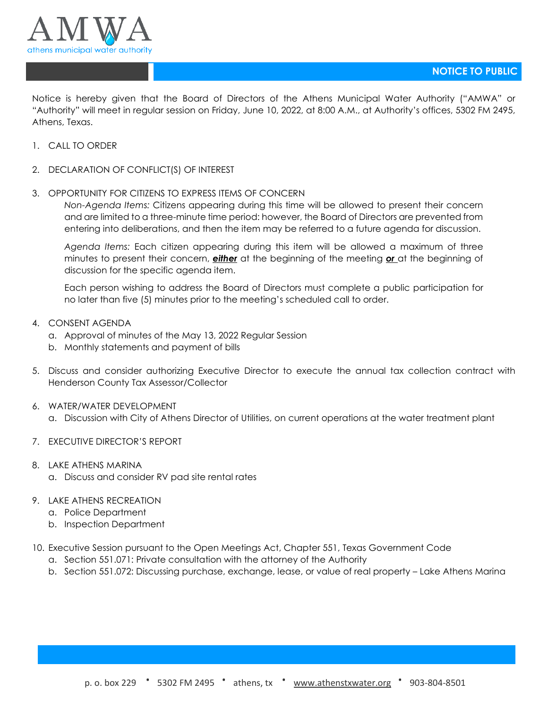

Notice is hereby given that the Board of Directors of the Athens Municipal Water Authority ("AMWA" or "Authority" will meet in regular session on Friday, June 10, 2022, at 8:00 A.M., at Authority's offices, 5302 FM 2495, Athens, Texas.

- 1. CALL TO ORDER
- 2. DECLARATION OF CONFLICT(S) OF INTEREST
- 3. OPPORTUNITY FOR CITIZENS TO EXPRESS ITEMS OF CONCERN

*Non-Agenda Items:* Citizens appearing during this time will be allowed to present their concern and are limited to a three-minute time period: however, the Board of Directors are prevented from entering into deliberations, and then the item may be referred to a future agenda for discussion.

*Agenda Items:* Each citizen appearing during this item will be allowed a maximum of three minutes to present their concern, *either* at the beginning of the meeting *or* at the beginning of discussion for the specific agenda item.

Each person wishing to address the Board of Directors must complete a public participation for no later than five (5) minutes prior to the meeting's scheduled call to order.

- 4. CONSENT AGENDA
	- a. Approval of minutes of the May 13, 2022 Regular Session
	- b. Monthly statements and payment of bills
- 5. Discuss and consider authorizing Executive Director to execute the annual tax collection contract with Henderson County Tax Assessor/Collector
- 6. WATER/WATER DEVELOPMENT
	- a. Discussion with City of Athens Director of Utilities, on current operations at the water treatment plant
- 7. EXECUTIVE DIRECTOR'S REPORT
- 8. LAKE ATHENS MARINA
	- a. Discuss and consider RV pad site rental rates
- 9. LAKE ATHENS RECREATION
	- a. Police Department
	- b. Inspection Department
- 10. Executive Session pursuant to the Open Meetings Act, Chapter 551, Texas Government Code
	- a. Section 551.071: Private consultation with the attorney of the Authority
	- b. Section 551.072: Discussing purchase, exchange, lease, or value of real property Lake Athens Marina